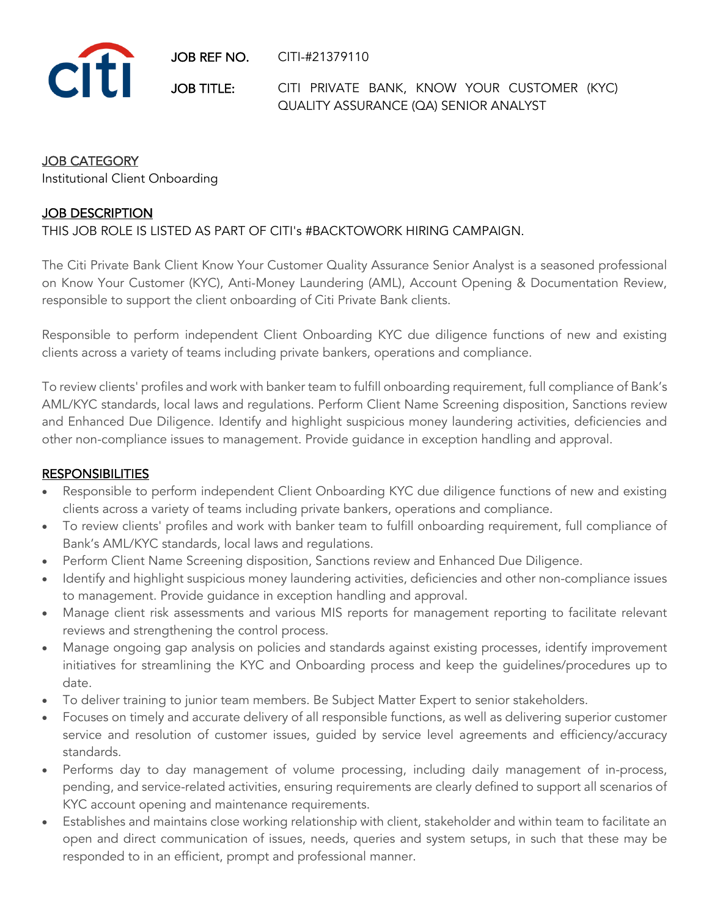JOB REF NO. CITI-#21379110



JOB TITLE: CITI PRIVATE BANK, KNOW YOUR CUSTOMER (KYC) QUALITY ASSURANCE (QA) SENIOR ANALYST

## JOB CATEGORY

Institutional Client Onboarding

## JOB DESCRIPTION

### THIS JOB ROLE IS LISTED AS PART OF CITI's #BACKTOWORK HIRING CAMPAIGN.

The Citi Private Bank Client Know Your Customer Quality Assurance Senior Analyst is a seasoned professional on Know Your Customer (KYC), Anti-Money Laundering (AML), Account Opening & Documentation Review, responsible to support the client onboarding of Citi Private Bank clients.

Responsible to perform independent Client Onboarding KYC due diligence functions of new and existing clients across a variety of teams including private bankers, operations and compliance.

To review clients' profiles and work with banker team to fulfill onboarding requirement, full compliance of Bank's AML/KYC standards, local laws and regulations. Perform Client Name Screening disposition, Sanctions review and Enhanced Due Diligence. Identify and highlight suspicious money laundering activities, deficiencies and other non-compliance issues to management. Provide guidance in exception handling and approval.

#### **RESPONSIBILITIES**

- Responsible to perform independent Client Onboarding KYC due diligence functions of new and existing clients across a variety of teams including private bankers, operations and compliance.
- To review clients' profiles and work with banker team to fulfill onboarding requirement, full compliance of Bank's AML/KYC standards, local laws and regulations.
- Perform Client Name Screening disposition, Sanctions review and Enhanced Due Diligence.
- Identify and highlight suspicious money laundering activities, deficiencies and other non-compliance issues to management. Provide guidance in exception handling and approval.
- Manage client risk assessments and various MIS reports for management reporting to facilitate relevant reviews and strengthening the control process.
- Manage ongoing gap analysis on policies and standards against existing processes, identify improvement initiatives for streamlining the KYC and Onboarding process and keep the guidelines/procedures up to date.
- To deliver training to junior team members. Be Subject Matter Expert to senior stakeholders.
- Focuses on timely and accurate delivery of all responsible functions, as well as delivering superior customer service and resolution of customer issues, guided by service level agreements and efficiency/accuracy standards.
- Performs day to day management of volume processing, including daily management of in-process, pending, and service-related activities, ensuring requirements are clearly defined to support all scenarios of KYC account opening and maintenance requirements.
- Establishes and maintains close working relationship with client, stakeholder and within team to facilitate an open and direct communication of issues, needs, queries and system setups, in such that these may be responded to in an efficient, prompt and professional manner.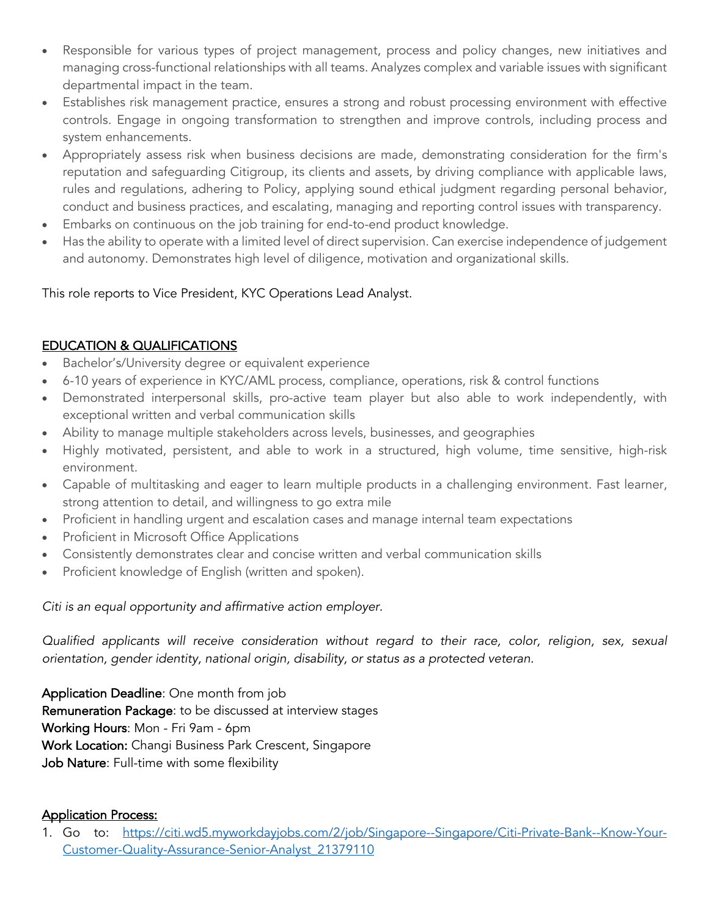- Responsible for various types of project management, process and policy changes, new initiatives and managing cross-functional relationships with all teams. Analyzes complex and variable issues with significant departmental impact in the team.
- Establishes risk management practice, ensures a strong and robust processing environment with effective controls. Engage in ongoing transformation to strengthen and improve controls, including process and system enhancements.
- Appropriately assess risk when business decisions are made, demonstrating consideration for the firm's reputation and safeguarding Citigroup, its clients and assets, by driving compliance with applicable laws, rules and regulations, adhering to Policy, applying sound ethical judgment regarding personal behavior, conduct and business practices, and escalating, managing and reporting control issues with transparency.
- Embarks on continuous on the job training for end-to-end product knowledge.
- Has the ability to operate with a limited level of direct supervision. Can exercise independence of judgement and autonomy. Demonstrates high level of diligence, motivation and organizational skills.

This role reports to Vice President, KYC Operations Lead Analyst.

# EDUCATION & QUALIFICATIONS

- Bachelor's/University degree or equivalent experience
- 6-10 years of experience in KYC/AML process, compliance, operations, risk & control functions
- Demonstrated interpersonal skills, pro-active team player but also able to work independently, with exceptional written and verbal communication skills
- Ability to manage multiple stakeholders across levels, businesses, and geographies
- Highly motivated, persistent, and able to work in a structured, high volume, time sensitive, high-risk environment.
- Capable of multitasking and eager to learn multiple products in a challenging environment. Fast learner, strong attention to detail, and willingness to go extra mile
- Proficient in handling urgent and escalation cases and manage internal team expectations
- Proficient in Microsoft Office Applications
- Consistently demonstrates clear and concise written and verbal communication skills
- Proficient knowledge of English (written and spoken).

## *Citi is an equal opportunity and affirmative action employer.*

*Qualified applicants will receive consideration without regard to their race, color, religion, sex, sexual orientation, gender identity, national origin, disability, or status as a protected veteran.*

Application Deadline: One month from job Remuneration Package: to be discussed at interview stages Working Hours: Mon - Fri 9am - 6pm Work Location: Changi Business Park Crescent, Singapore Job Nature: Full-time with some flexibility

## Application Process:

1. Go to: https://citi.wd5.myworkdayjobs.com/2/job/Singapore--Singapore/Citi-Private-Bank--Know-Your-Customer-Quality-Assurance-Senior-Analyst\_21379110